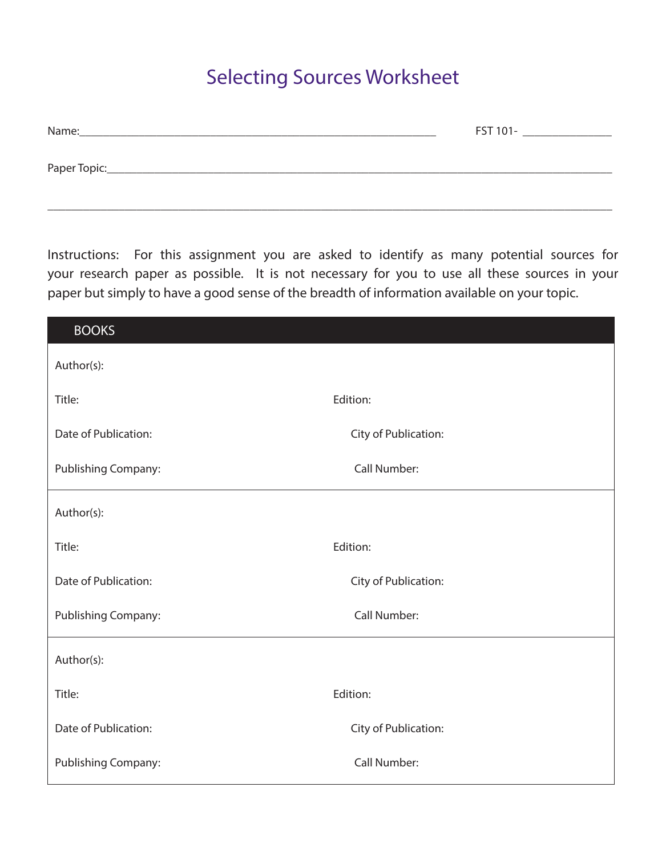## Selecting Sources Worksheet

| Name:        | FST 101- |
|--------------|----------|
|              |          |
| Paper Topic: |          |
|              |          |

\_\_\_\_\_\_\_\_\_\_\_\_\_\_\_\_\_\_\_\_\_\_\_\_\_\_\_\_\_\_\_\_\_\_\_\_\_\_\_\_\_\_\_\_\_\_\_\_\_\_\_\_\_\_\_\_\_\_\_\_\_\_\_\_\_\_\_\_\_\_\_\_\_\_\_\_\_\_\_\_\_\_\_\_\_\_\_\_\_\_\_\_\_\_\_

Instructions: For this assignment you are asked to identify as many potential sources for your research paper as possible. It is not necessary for you to use all these sources in your paper but simply to have a good sense of the breadth of information available on your topic.

| <b>BOOKS</b>         |                      |
|----------------------|----------------------|
| Author(s):           |                      |
| Title:               | Edition:             |
| Date of Publication: | City of Publication: |
| Publishing Company:  | Call Number:         |
| Author(s):           |                      |
| Title:               | Edition:             |
| Date of Publication: | City of Publication: |
| Publishing Company:  | Call Number:         |
| Author(s):           |                      |
| Title:               | Edition:             |
| Date of Publication: | City of Publication: |
| Publishing Company:  | Call Number:         |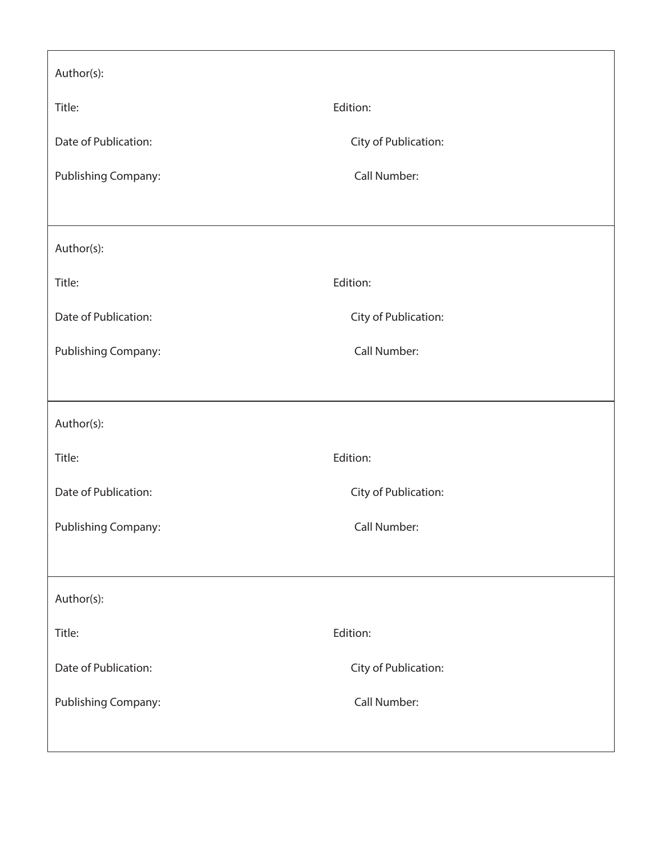| Author(s):           |                      |  |
|----------------------|----------------------|--|
| Title:               | Edition:             |  |
| Date of Publication: | City of Publication: |  |
| Publishing Company:  | Call Number:         |  |
|                      |                      |  |
| Author(s):           |                      |  |
| Title:               | Edition:             |  |
| Date of Publication: | City of Publication: |  |
| Publishing Company:  | Call Number:         |  |
|                      |                      |  |
| Author(s):           |                      |  |
| Title:               | Edition:             |  |
| Date of Publication: | City of Publication: |  |
| Publishing Company:  | Call Number:         |  |
|                      |                      |  |
| Author(s):           |                      |  |
| Title:               | Edition:             |  |
| Date of Publication: | City of Publication: |  |
| Publishing Company:  | Call Number:         |  |
|                      |                      |  |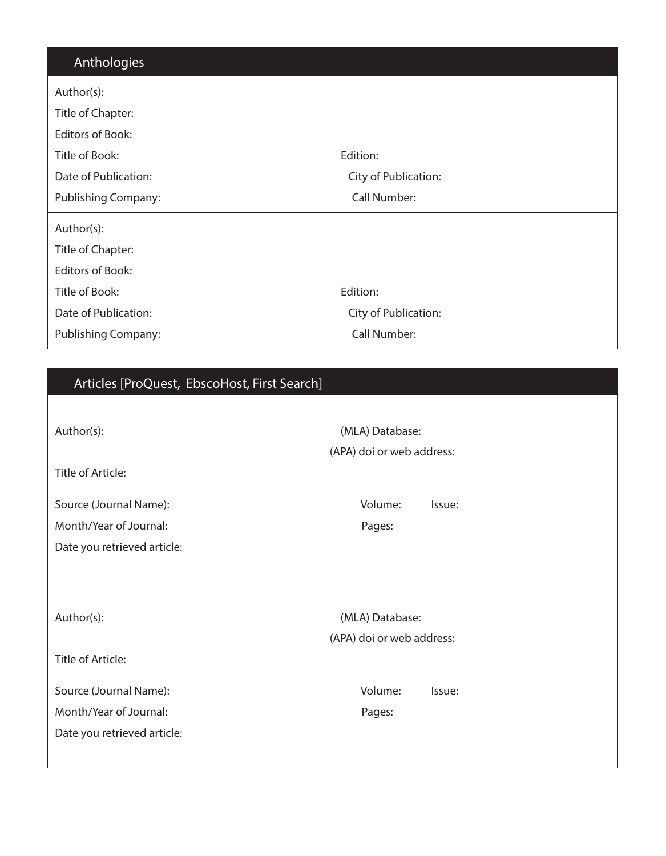## Anthologies

| Author(s):              |                      |
|-------------------------|----------------------|
| Title of Chapter:       |                      |
| Editors of Book:        |                      |
| Title of Book:          | Edition:             |
| Date of Publication:    | City of Publication: |
| Publishing Company:     | Call Number:         |
|                         |                      |
| Author(s):              |                      |
| Title of Chapter:       |                      |
| <b>Editors of Book:</b> |                      |
| Title of Book:          | Edition:             |
| Date of Publication:    | City of Publication: |

## Articles [ProQuest, EbscoHost, First Search]

| Author(s):                  | (MLA) Database:<br>(APA) doi or web address: |  |  |
|-----------------------------|----------------------------------------------|--|--|
| Title of Article:           |                                              |  |  |
| Source (Journal Name):      | Volume:<br>Issue:                            |  |  |
| Month/Year of Journal:      | Pages:                                       |  |  |
| Date you retrieved article: |                                              |  |  |
|                             |                                              |  |  |
|                             |                                              |  |  |
| Author(s):                  | (MLA) Database:                              |  |  |
|                             | (APA) doi or web address:                    |  |  |
| Title of Article:           |                                              |  |  |
| Source (Journal Name):      | Volume:<br>Issue:                            |  |  |
| Month/Year of Journal:      | Pages:                                       |  |  |
| Date you retrieved article: |                                              |  |  |
|                             |                                              |  |  |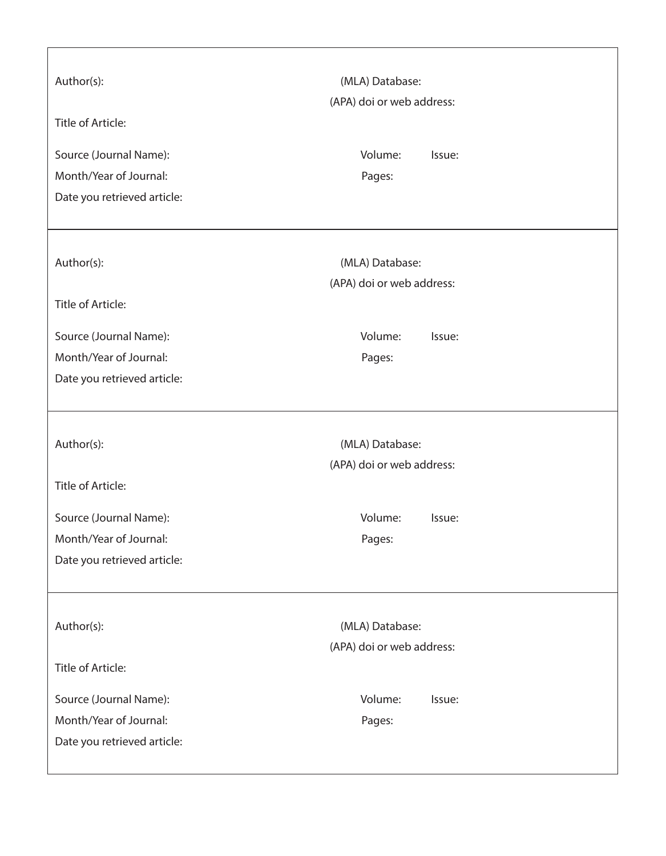| Author(s):<br>Title of Article: | (MLA) Database:<br>(APA) doi or web address: |
|---------------------------------|----------------------------------------------|
| Source (Journal Name):          | Volume:<br>Issue:                            |
| Month/Year of Journal:          | Pages:                                       |
| Date you retrieved article:     |                                              |
| Author(s):                      | (MLA) Database:<br>(APA) doi or web address: |
| Title of Article:               |                                              |
| Source (Journal Name):          | Volume:<br>Issue:                            |
| Month/Year of Journal:          | Pages:                                       |
| Date you retrieved article:     |                                              |
|                                 |                                              |
|                                 |                                              |
|                                 |                                              |
| Author(s):                      | (MLA) Database:                              |
| Title of Article:               | (APA) doi or web address:                    |
| Source (Journal Name):          | Volume:<br>Issue:                            |
| Month/Year of Journal:          | Pages:                                       |
| Date you retrieved article:     |                                              |
|                                 |                                              |
| Author(s):                      |                                              |
|                                 | (MLA) Database:<br>(APA) doi or web address: |
| Title of Article:               |                                              |
| Source (Journal Name):          | Volume:<br>Issue:                            |
| Month/Year of Journal:          | Pages:                                       |
| Date you retrieved article:     |                                              |

٦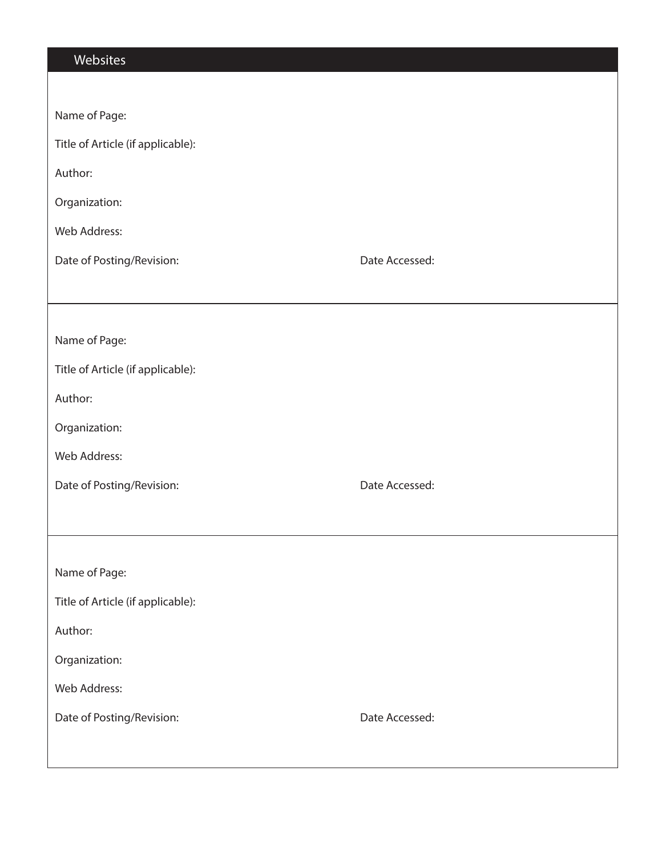| Name of Page:                               |
|---------------------------------------------|
| Title of Article (if applicable):           |
| Author:                                     |
| Organization:                               |
| Web Address:                                |
| Date of Posting/Revision:<br>Date Accessed: |
|                                             |
|                                             |
| Name of Page:                               |
| Title of Article (if applicable):           |
| Author:                                     |
| Organization:                               |
| Web Address:                                |
| Date of Posting/Revision:<br>Date Accessed: |
|                                             |
|                                             |
| Name of Page:                               |
| Title of Article (if applicable):           |
| Author:                                     |
| Organization:                               |
| Web Address:                                |
| Date of Posting/Revision:<br>Date Accessed: |
|                                             |